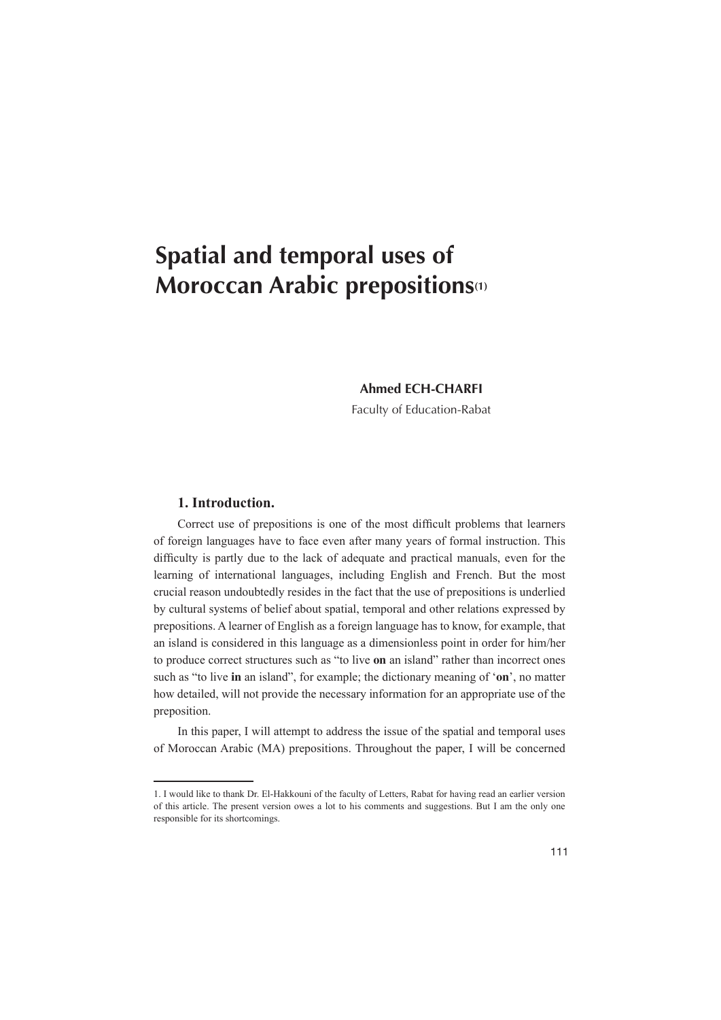# **Spatial and temporal uses of Moroccan Arabic prepositions** (1)

# **Ahmed ECH-CHARFI**

Faculty of Education-Rabat

# 1. Introduction.

Correct use of prepositions is one of the most difficult problems that learners of foreign languages have to face even after many years of formal instruction. This difficulty is partly due to the lack of adequate and practical manuals, even for the learning of international languages, including English and French. But the most crucial reason undoubtedly resides in the fact that the use of prepositions is underlied by cultural systems of belief about spatial, temporal and other relations expressed by prepositions. A learner of English as a foreign language has to know, for example, that an island is considered in this language as a dimensionless point in order for him/her to produce correct structures such as "to live on an island" rather than incorrect ones such as "to live in an island", for example; the dictionary meaning of 'on', no matter how detailed, will not provide the necessary information for an appropriate use of the preposition.

In this paper, I will attempt to address the issue of the spatial and temporal uses of Moroccan Arabic (MA) prepositions. Throughout the paper, I will be concerned

<sup>1.</sup> I would like to thank Dr. El-Hakkouni of the faculty of Letters, Rabat for having read an earlier version of this article. The present version owes a lot to his comments and suggestions. But I am the only one responsible for its shortcomings.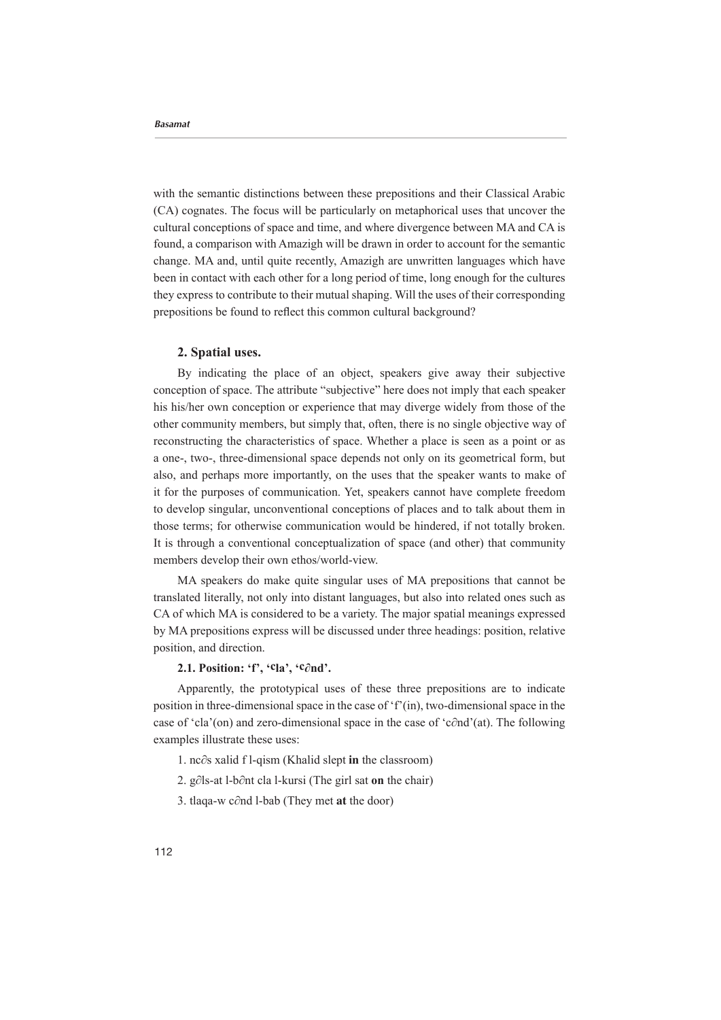with the semantic distinctions between these prepositions and their Classical Arabic  $(CA)$  cognates. The focus will be particularly on metaphorical uses that uncover the cultural conceptions of space and time, and where divergence between MA and CA is found, a comparison with Amazigh will be drawn in order to account for the semantic change. MA and, until quite recently, Amazigh are unwritten languages which have been in contact with each other for a long period of time, long enough for the cultures they express to contribute to their mutual shaping. Will the uses of their corresponding prepositions be found to reflect this common cultural background?

#### **2. Spatial uses.**

By indicating the place of an object, speakers give away their subjective conception of space. The attribute "subjective" here does not imply that each speaker his his/her own conception or experience that may diverge widely from those of the other community members, but simply that, often, there is no single objective way of reconstructing the characteristics of space. Whether a place is seen as a point or as a one-, two-, three-dimensional space depends not only on its geometrical form, but also, and perhaps more importantly, on the uses that the speaker wants to make of it for the purposes of communication. Yet, speakers cannot have complete freedom to develop singular, unconventional conceptions of places and to talk about them in those terms: for otherwise communication would be hindered, if not totally broken. It is through a conventional conceptualization of space (and other) that community members develop their own ethos/world-view.

MA speakers do make quite singular uses of MA prepositions that cannot be translated literally, not only into distant languages, but also into related ones such as CA of which MA is considered to be a variety. The major spatial meanings expressed by MA prepositions express will be discussed under three headings: position, relative position, and direction.

# **2.1. Position: 'f', 'Cla', 'C∂nd'.**

Apparently, the prototypical uses of these three prepositions are to indicate position in three-dimensional space in the case of  $f'(n)$ , two-dimensional space in the case of 'cla'(on) and zero-dimensional space in the case of 'c∂nd'(at). The following examples illustrate these uses:

- 1. nc∂s xalid f l-qism (Khalid slept in the classroom)
- 2. g∂ls-at l-b∂nt cla l-kursi (The girl sat on the chair)
- 3. tlaqa-w c∂nd l-bab (They met at the door)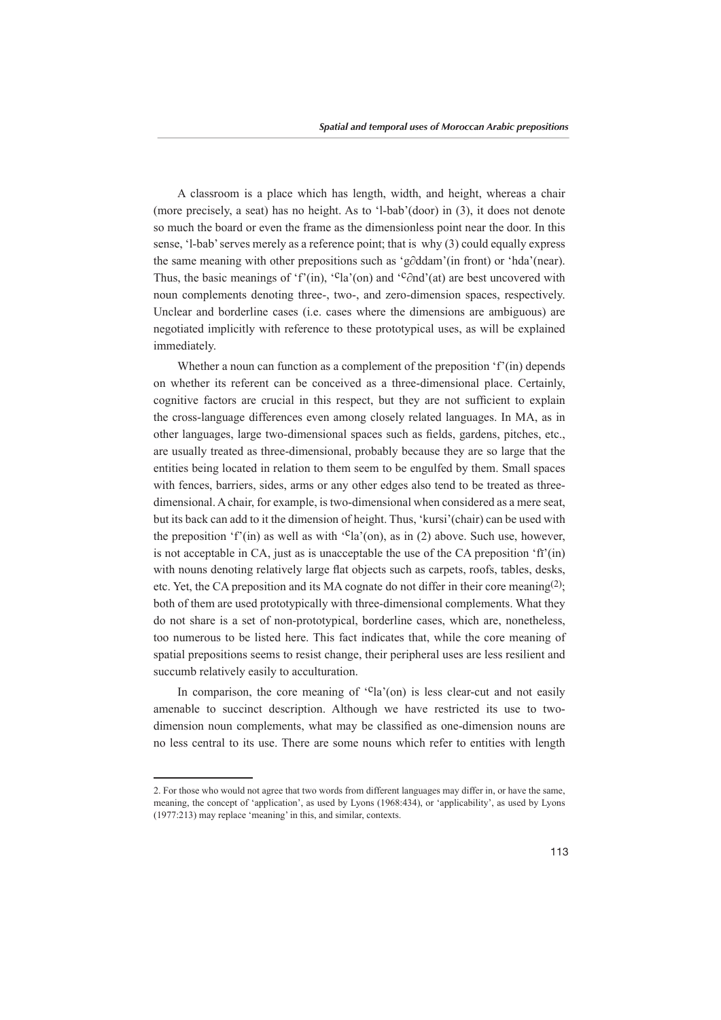A classroom is a place which has length, width, and height, whereas a chair (more precisely, a seat) has no height. As to 'l-bab'(door) in  $(3)$ , it does not denote so much the board or even the frame as the dimensionless point near the door. In this sense, '1-bab' serves merely as a reference point; that is  $why(3)$  could equally express the same meaning with other prepositions such as 'g∂ddam'(in front) or 'hda'(near). Thus, the basic meanings of 'f'(in), '<sup>c</sup>la'(on) and '<sup>c</sup>∂nd'(at) are best uncovered with noun complements denoting three-, two-, and zero-dimension spaces, respectively. Unclear and borderline cases (i.e. cases where the dimensions are ambiguous) are negotiated implicitly with reference to these prototypical uses, as will be explained immediately.

Whether a noun can function as a complement of the preposition  $f'(n)$  depends on whether its referent can be conceived as a three-dimensional place. Certainly, cognitive factors are crucial in this respect, but they are not sufficient to explain the cross-language differences even among closely related languages. In MA, as in other languages, large two-dimensional spaces such as fields, gardens, pitches, etc., are usually treated as three-dimensional, probably because they are so large that the entities being located in relation to them seem to be engulfed by them. Small spaces dimensional. A chair, for example, is two-dimensional-when considered as a mere seat, with fences, barriers, sides, arms or any other edges also tend to be treated as threebut its back can add to it the dimension of height. Thus, 'kursi'(chair) can be used with the preposition 'f'(in) as well as with '<sup>c</sup>la'(on), as in (2) above. Such use, however, is not acceptable in CA, just as is unacceptable the use of the CA preposition  $\hat{f}$  (in) with nouns denoting relatively large flat objects such as carpets, roofs, tables, desks, etc. Yet, the CA preposition and its MA cognate do not differ in their core meaning<sup>(2)</sup>; both of them are used prototypically with three-dimensional complements. What they do not share is a set of non-prototypical, borderline cases, which are, nonetheless, too numerous to be listed here. This fact indicates that, while the core meaning of spatial prepositions seems to resist change, their peripheral uses are less resilient and succumb relatively easily to acculturation.

In comparison, the core meaning of  $Cla'$  (on) is less clear-cut and not easily amenable to succinct description. Although we have restricted its use to two-<br>dimension noun complements, what may be classified as one-dimension nouns are no less central to its use. There are some nouns which refer to entities with length

<sup>2.</sup> For those who would not agree that two words from different languages may differ in, or have the same, meaning, the concept of 'application', as used by Lyons (1968:434), or 'applicability', as used by Lyons  $(1977:213)$  may replace 'meaning' in this, and similar, contexts.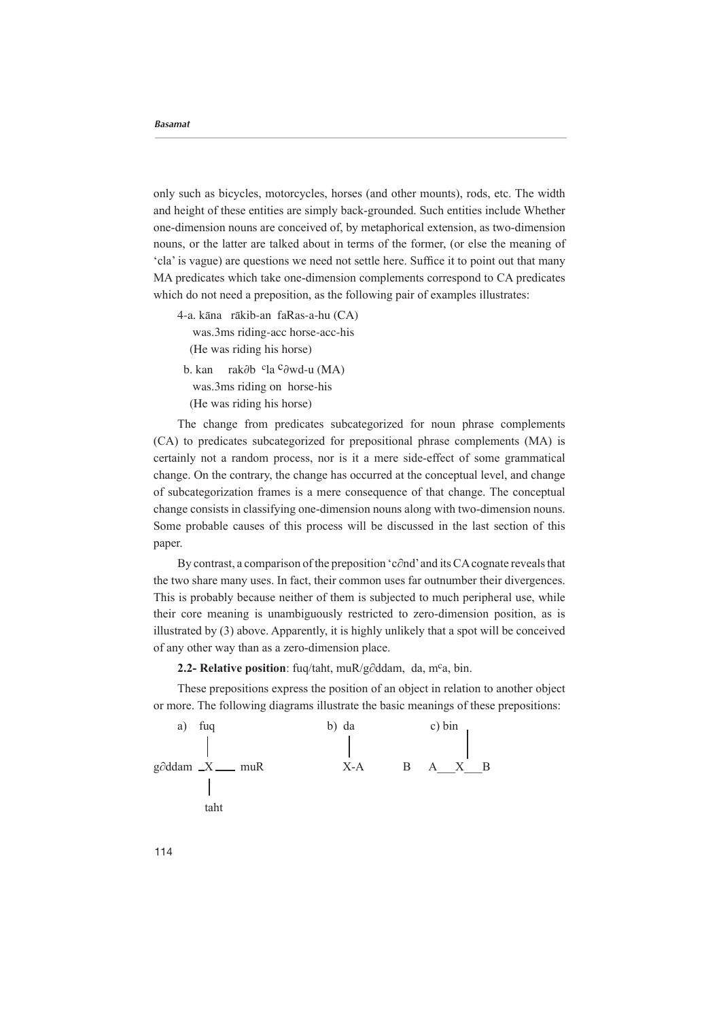only such as bicycles, motorcycles, horses (and other mounts), rods, etc. The width and height of these entities are simply back-grounded. Such entities include Whether one-dimension nouns are conceived of, by metaphorical extension, as two-dimension nouns, or the latter are talked about in terms of the former, (or else the meaning of that that out that out point out that out out that out settle it is value it to point out that many MA predicates which take one-dimension complements correspond to CA predicates which do not need a preposition, as the following pair of examples illustrates:

4-a. kāna rākib-an faRas-a-hu (CA) was.3ms riding-acc horse-acc-his (He was riding his horse)

b. kan rak∂b <sup>c</sup>la <sup>c</sup>∂wd-u (MA) was.3ms riding on horse-his (He was riding his horse)

The change from predicates subcategorized for noun phrase complements  $(CA)$  to predicates subcategorized for prepositional phrase complements  $(MA)$  is certainly not a random process, nor is it a mere side-effect of some grammatical change. On the contrary, the change has occurred at the conceptual level, and change of subcategorization frames is a mere consequence of that change. The conceptual change consists in classifying one-dimension nouns along with two-dimension nouns. Some probable causes of this process will be discussed in the last section of this paper.

By contrast, a comparison of the preposition 'c∂nd' and its CA cognate reveals that the two share many uses. In fact, their common uses far outnumber their divergences. This is probably because neither of them is subjected to much peripheral use, while their core meaning is unambiguously restricted to zero-dimension position, as is illustrated by  $(3)$  above. Apparently, it is highly unlikely that a spot will be conceived of any other way than as a zero-dimension place.

2.2- Relative position: fuq/taht, muR/g∂ddam, da, m<sup>c</sup>a, bin.

These prepositions express the position of an object in relation to another object or more. The following diagrams illustrate the basic meanings of these prepositions:



114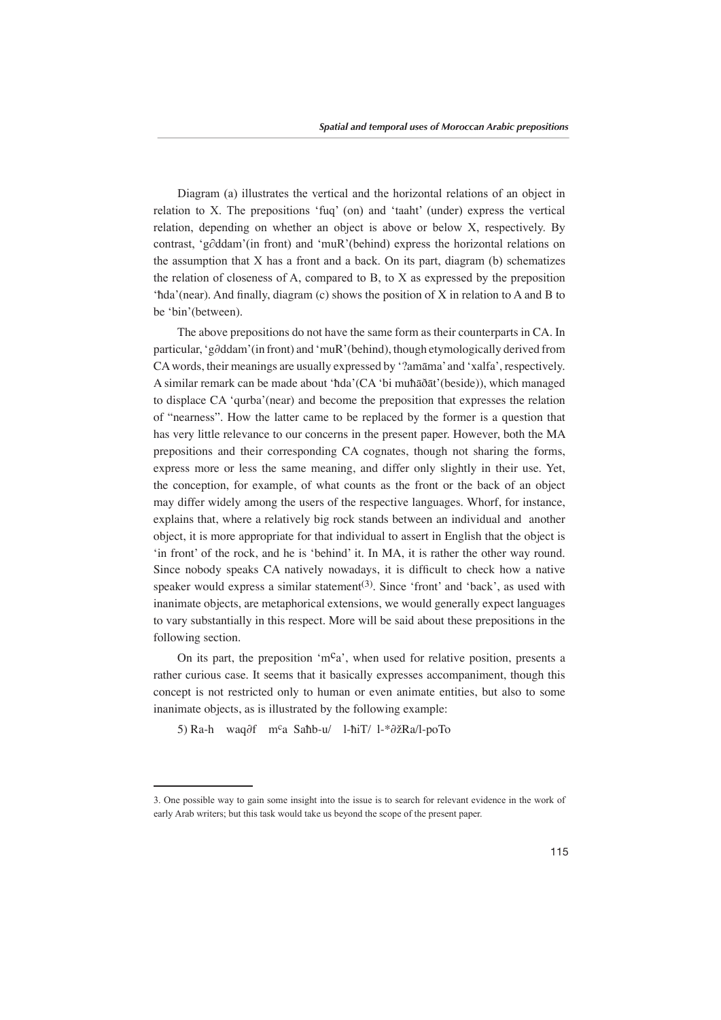Diagram (a) illustrates the vertical and the horizontal relations of an object in relation to X. The prepositions 'fug' (on) and 'taaht' (under) express the vertical relation, depending on whether an object is above or below  $X$ , respectively. By contrast, 'g∂ddam'(in front) and 'muR'(behind) express the horizontal relations on the assumption that  $X$  has a front and a back. On its part, diagram (b) schematizes the relation of closeness of A, compared to B, to X as expressed by the preposition 'hda'(near). And finally, diagram (c) shows the position of X in relation to A and B to be 'bin' (between).

The above prepositions do not have the same form as their counterparts in CA. In particular, 'g∂ddam'(in front) and 'muR' (behind), though etymologically derived from . CA words, their meanings are usually expressed by '?amāma' and 'xalfa', respectively. A similar remark can be made about 'hda'  $(CA')$ i muħāðāt' (beside)), which managed to displace CA 'qurba' (near) and become the preposition that expresses the relation of "nearness". How the latter came to be replaced by the former is a question that has very little relevance to our concerns in the present paper. However, both the MA prepositions and their corresponding CA cognates, though not sharing the forms, express more or less the same meaning, and differ only slightly in their use. Yet, the conception, for example, of what counts as the front or the back of an object may differ widely among the users of the respective languages. Whorf, for instance, explains that, where a relatively big rock stands between an individual and another object, it is more appropriate for that individual to assert in English that the object is 'in front' of the rock, and he is 'behind' it. In MA, it is rather the other way round. Since nobody speaks CA natively nowadays, it is difficult to check how a native speaker would express a similar statement<sup>(3)</sup>. Since 'front' and 'back', as used with inanimate objects, are metaphorical extensions, we would generally expect languages to vary substantially in this respect. More will be said about these prepositions in the following section.

On its part, the preposition 'm<sup>c</sup>a', when used for relative position, presents a rather curious case. It seems that it basically expresses accompaniment, though this concept is not restricted only to human or even animate entities, but also to some inanimate objects, as is illustrated by the following example:

5) Ra-h waq∂f m<sup>c</sup>a Saħb-u/ l-ħiT/l-\*∂žRa/l-poTo

<sup>3.</sup> One possible way to gain some insight into the issue is to search for relevant evidence in the work of early Arab writers; but this task would take us beyond the scope of the present paper.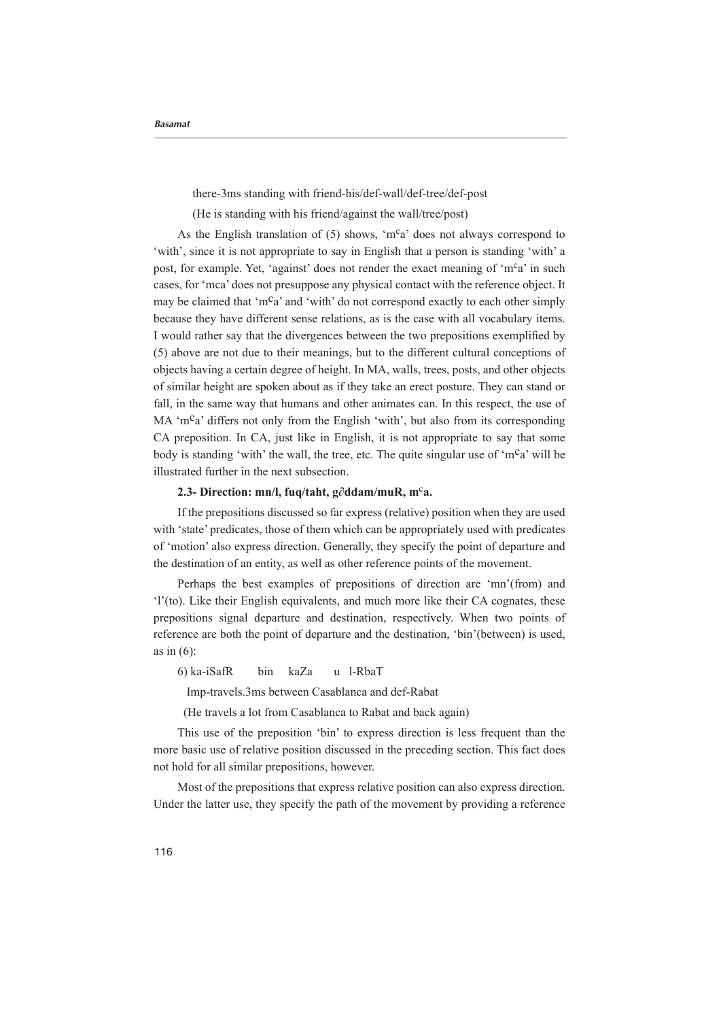there-3ms standing with friend-his/def-wall/def-tree/def-post

(He is standing with his friend/against the wall/tree/post)

As the English translation of (5) shows, 'm<sup>c</sup>a' does not always correspond to ' with', since it is not appropriate to say in English that a person is standing 'with' a post, for example. Yet, 'against' does not render the exact meaning of 'm<sup>c</sup>a' in such cases, for 'mca' does not presuppose any physical contact with the reference object. It may be claimed that 'm<sup>c</sup>a' and 'with' do not correspond exactly to each other simply because they have different sense relations, as is the case with all vocabulary items. I would rather say that the divergences between the two prepositions exemplified by  $(5)$  above are not due to their meanings, but to the different cultural conceptions of objects having a certain degree of height. In MA, walls, trees, posts, and other objects of similar height are spoken about as if they take an erect posture. They can stand or fall, in the same way that humans and other animates can. In this respect, the use of MA 'm<sup>c</sup>a' differs not only from the English 'with', but also from its corresponding CA preposition. In CA, just like in English, it is not appropriate to say that some body is standing 'with' the wall, the tree, etc. The quite singular use of 'm<sup>c</sup>a' will be illustrated further in the next subsection.

## **2.3-** Direction: mn/l, fuq/taht, g∂ddam/muR, m<sup>c</sup>a.

If the prepositions discussed so far express (relative) position when they are used with 'state' predicates, those of them which can be appropriately used with predicates of 'motion' also express direction. Generally, they specify the point of departure and the destination of an entity, as well as other reference points of the movement.

Perhaps the best examples of prepositions of direction are 'mn'(from) and f'(to). Like their English equivalents, and much more like their CA cognates, these prepositions signal departure and destination, respectively. When two points of reference are both the point of departure and the destination, 'bin'(between) is used, as in  $(6)$ :

6) ka-iSafR bin kaZa u l-RbaT

Imp-travels.3ms between Casablanca and def-Rabat

(He travels a lot from Casablanca to Rabat and back again)

This use of the preposition 'bin' to express direction is less frequent than the more basic use of relative position discussed in the preceding section. This fact does not hold for all similar prepositions, however.

Most of the prepositions that express relative position can also express direction. Under the latter use, they specify the path of the movement by providing a reference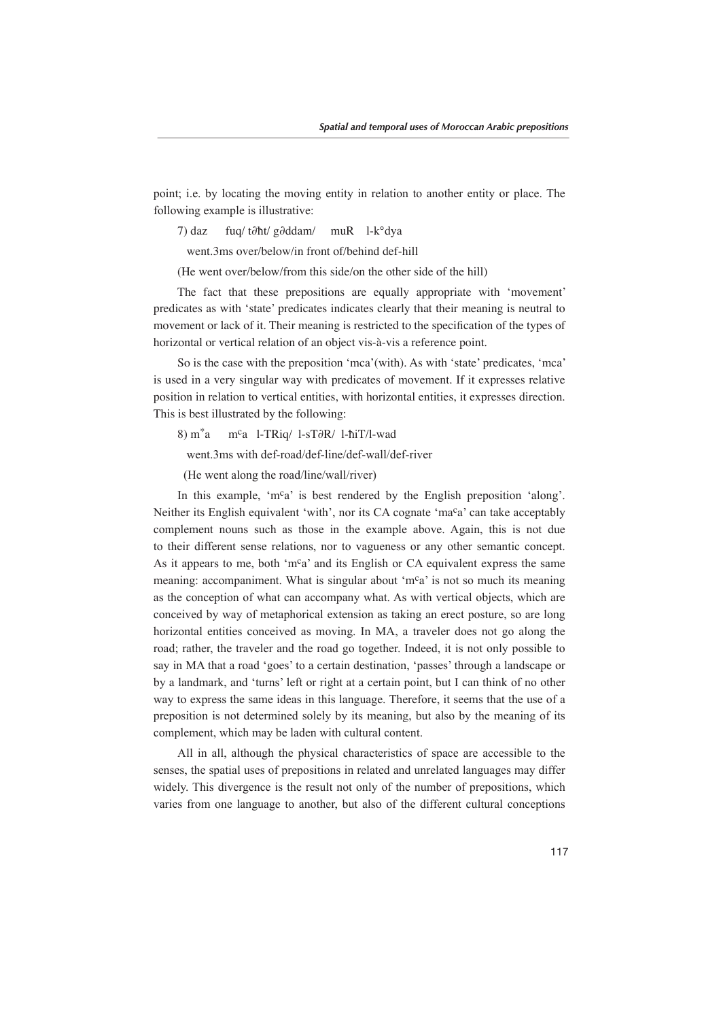point; i.e. by locating the moving entity in relation to another entity or place. The following example is illustrative:

7) daz fuq/ t∂ħt/ g∂ddam/ muR l-k°dya

went.3ms over/below/in front of/behind def-hill

(He went over/below/from this side/on the other side of the hill)

The fact that these prepositions are equally appropriate with 'movement' predicates as with 'state' predicates indicates clearly that their meaning is neutral to movement or lack of it. Their meaning is restricted to the specification of the types of horizontal or vertical relation of an object vis-à-vis a reference point.

So is the case with the preposition 'mca' (with). As with 'state' predicates, 'mca' is used in a very singular way with predicates of movement. If it expresses relative position in relation to vertical entities, with horizontal entities, it expresses direction. This is best illustrated by the following:

8) m<sup>\*</sup>a m<sup>c</sup>a l-TRiq/ l-sT∂R/ l-ħiT/l-wad

went.3ms with def-road/def-line/def-wall/def-river

(He went along the road/line/wall/river)

In this example, ' $m^c a$ ' is best rendered by the English preposition 'along'. Neither its English equivalent 'with', nor its CA cognate 'ma<sup>c</sup>a' can take acceptably complement nouns such as those in the example above. Again, this is not due to their different sense relations, nor to vagueness or any other semantic concept. As it appears to me, both 'm<sup>c</sup>a' and its English or CA equivalent express the same meaning: accompaniment. What is singular about 'm<sup>c</sup>a' is not so much its meaning as the conception of what can accompany what. As with vertical objects, which are conceived by way of metaphorical extension as taking an erect posture, so are long horizontal entities conceived as moving. In MA, a traveler does not go along the road; rather, the traveler and the road go together. Indeed, it is not only possible to say in MA that a road 'goes' to a certain destination, 'passes' through a landscape or by a landmark, and 'turns' left or right at a certain point, but I can think of no other way to express the same ideas in this language. Therefore, it seems that the use of a preposition is not determined solely by its meaning, but also by the meaning of its complement, which may be laden with cultural content.

All in all, although the physical characteristics of space are accessible to the senses, the spatial uses of prepositions in related and unrelated languages may differ widely. This divergence is the result not only of the number of prepositions, which varies from one language to another, but also of the different cultural conceptions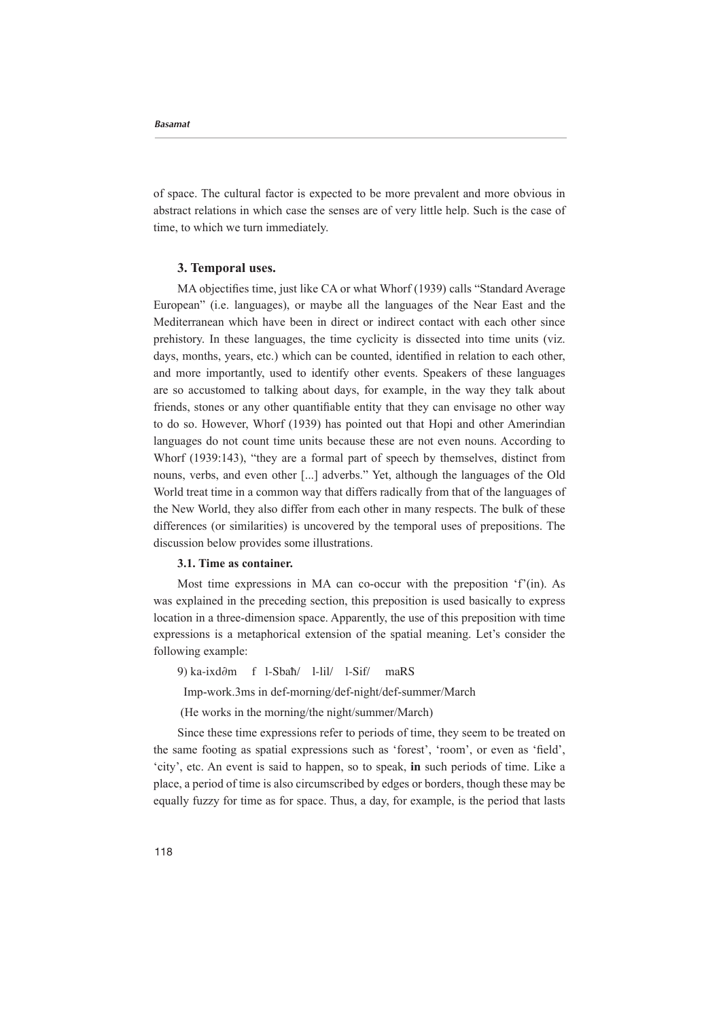of space. The cultural factor is expected to be more prevalent and more obvious in abstract relations in which case the senses are of very little help. Such is the case of time, to which we turn immediately.

## **3. Temporal uses.**

MA objectifies time, just like CA or what Whorf (1939) calls "Standard Average European" (i.e. languages), or maybe all the languages of the Near East and the Mediterranean which have been in direct or indirect contact with each other since prehistory. In these languages, the time evelicity is dissected into time units (viz. days, months, years, etc.) which can be counted, identified in relation to each other, and more importantly, used to identify other events. Speakers of these languages are so accustomed to talking about days, for example, in the way they talk about friends, stones or any other quantifiable entity that they can envisage no other way to do so. However, Whorf (1939) has pointed out that Hopi and other Amerindian languages do not count time units because these are not even nouns. According to Whorf  $(1939:143)$ , "they are a formal part of speech by themselves, distinct from nouns, verbs, and even other [...] adverbs." Yet, although the languages of the Old World treat time in a common way that differs radically from that of the languages of the New World, they also differ from each other in many respects. The bulk of these differences (or similarities) is uncovered by the temporal uses of prepositions. The discussion below provides some illustrations.

## **3.1.** Time as container.

Most time expressions in MA can co-occur-with the preposition  $f'(in)$ . As was explained in the preceding section, this preposition is used basically to express location in a three-dimension space. Apparently, the use of this preposition with time expressions is a metaphorical extension of the spatial meaning. Let's consider the following example:

9) ka-ixd∂m f l-Sbaħ/ l-lil/ l-Sif/ maRS

Imp-work.3ms in def-morning/def-night/def-summer/March

(He works in the morning/the night/summer/March)

Since these time expressions refer to periods of time, they seem to be treated on the same footing as spatial expressions such as 'forest', 'room', or even as 'field', 'city', etc. An event is said to happen, so to speak, in such periods of time. Like a place, a period of time is also circumscribed by edges or borders, though these may be equally fuzzy for time as for space. Thus, a day, for example, is the period that lasts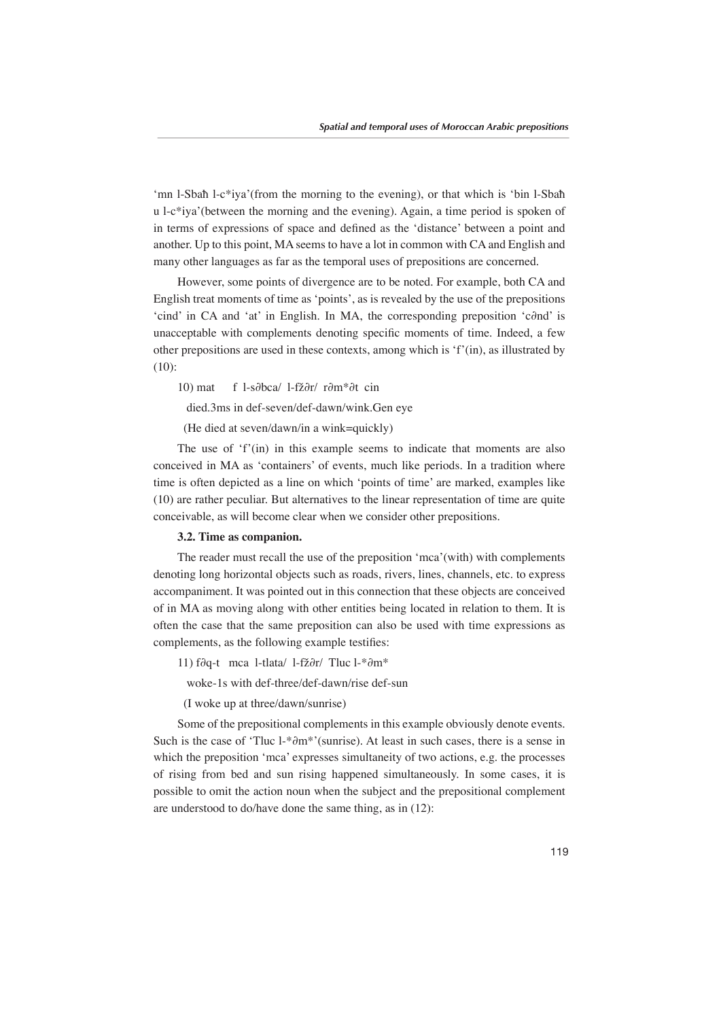'mn l-Sbah l-c\*iya'(from the morning to the evening), or that which is 'bin l-Sbah  $u$  l-c<sup>\*</sup>iya'(between the morning and the evening). Again, a time period is spoken of in terms of expressions of space and defined as the 'distance' between a point and another. Up to this point, MA seems to have a lot in common with CA and English and many other languages as far as the temporal uses of prepositions are concerned.

However, some points of divergence are to be noted. For example, both CA and English treat moments of time as 'points', as is revealed by the use of the prepositions icind' in CA and 'at' in English. In MA, the corresponding preposition 'c∂nd' is unacceptable with complements denoting specific moments of time. Indeed, a few other prepositions are used in these contexts, among which is 'f' (in), as illustrated by  $(10):$ 

10) mat f l-s∂bca/ l-fž∂r/ r∂m\*∂t cin

died.3ms in def-seven/def-dawn/wink.Gen eve

(He died at seven/dawn/in a wink=quickly)

The use of  $f'(in)$  in this example seems to indicate that moments are also conceived in MA as 'containers' of events, much like periods. In a tradition where time is often depicted as a line on which 'points of time' are marked, examples like  $(10)$  are rather peculiar. But alternatives to the linear representation of time are quite conceivable, as will become clear when we consider other prepositions.

#### **3.2.** Time as companion.

The reader must recall the use of the preposition 'mca' (with) with complements denoting long horizontal objects such as roads, rivers, lines, channels, etc. to express accompaniment. It was pointed out in this connection that these objects are conceived of in MA as moving along with other entities being located in relation to them. It is often the case that the same preposition can also be used with time expressions as complements, as the following example testifies:

11) f∂q-t mca l-tlata/ l-fž∂r/ Tluc l-\*∂m\*

woke-1s with def-three/def-dawn/rise def-sun

(I woke up at three/dawn/sunrise)

Some of the prepositional complements in this example obviously denote events. Such is the case of 'Tluc l-\*∂m\*'(sunrise). At least in such cases, there is a sense in which the preposition 'mca' expresses simultaneity of two actions, e.g. the processes of rising from bed and sun rising happened simultaneously. In some cases, it is possible to omit the action noun when the subject and the prepositional complement are understood to do/have done the same thing, as in  $(12)$ :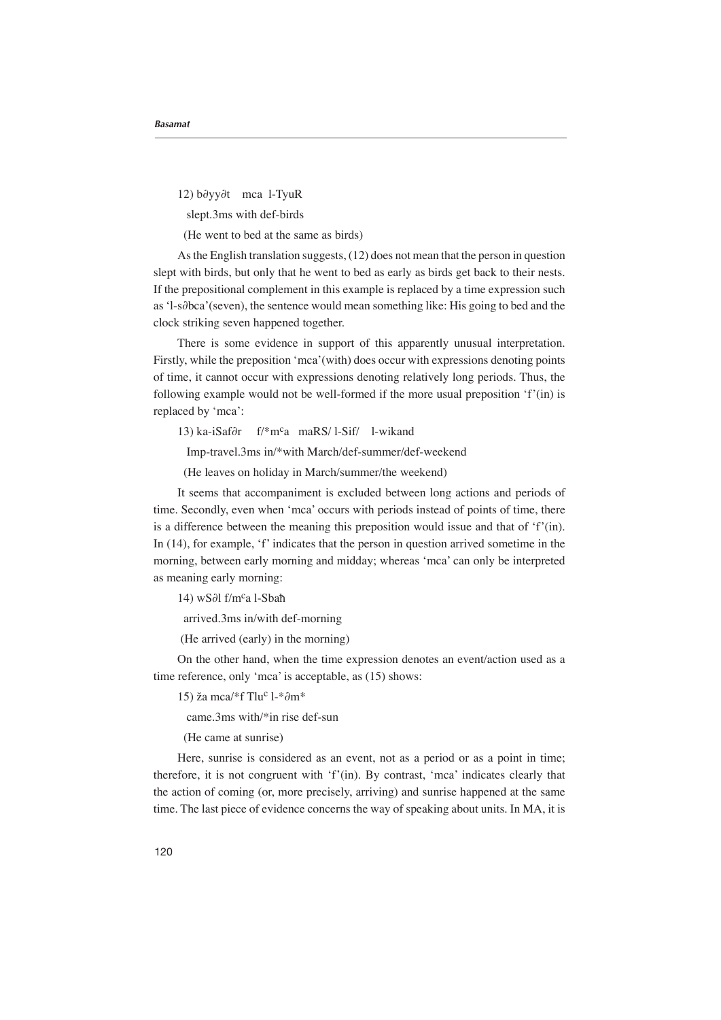12) b∂yy∂t mca l-TyuR

slept.3ms with def-birds

(He went to bed at the same as birds)

As the English translation suggests,  $(12)$  does not mean that the person in question slept with birds, but only that he went to bed as early as birds get back to their nests. If the prepositional complement in this example is replaced by a time expression such as 'l-s∂bca'(seven), the sentence would mean something like: His going to bed and the clock striking seven happened together.

There is some evidence in support of this apparently unusual interpretation. Firstly, while the preposition 'mca' (with) does occur with expressions denoting points of time, it cannot occur with expressions denoting relatively long periods. Thus, the following example would not be well-formed if the more usual preposition  $f'(n)$  is replaced by 'mca':

13) ka-iSaf∂r f/\*m<sup>c</sup>a maRS/1-Sif/ 1-wikand

Imp-travel.3ms in/\*with March/def-summer/def-weekend

(He leaves on holiday in March/summer/the weekend)

It seems that accompaniment is excluded between long actions and periods of time. Secondly, even when 'mca' occurs with periods instead of points of time, there is a difference between the meaning this preposition would issue and that of  $f'(in)$ . In  $(14)$ , for example, 'f' indicates that the person in question arrived sometime in the morning, between early morning and midday; whereas 'mca' can only be interpreted as meaning early morning:

14) wS∂l f/m<sup>c</sup>a l-Sbaħ

arrived.3ms in/with def-morning

(He arrived (early) in the morning)

On the other hand, when the time expression denotes an event/action used as a time reference, only 'mca' is acceptable, as  $(15)$  shows:

15) ža mca/\*f Tlu<sup>c</sup> l-\*∂m\*

came.3ms with/\*in rise def-sun

(He came at sunrise)

Here, sunrise is considered as an event, not as a period or as a point in time; therefore, it is not congruent with 'f' (in). By contrast, 'mca' indicates clearly that the action of coming (or, more precisely, arriving) and sunrise happened at the same time. The last piece of evidence concerns the way of speaking about units. In MA, it is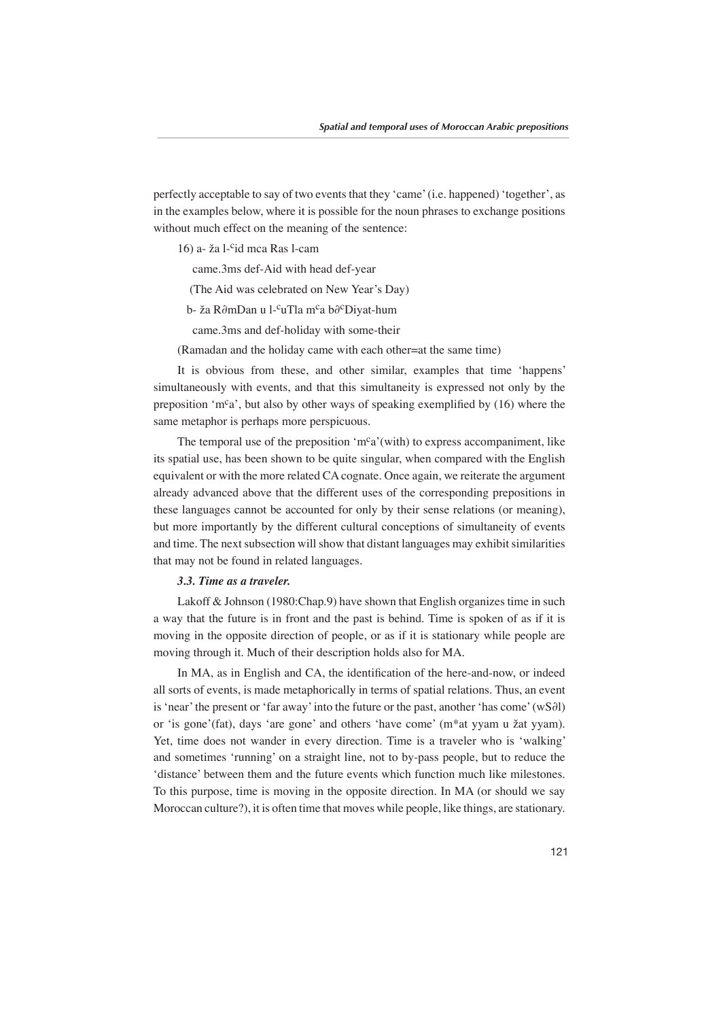perfectly acceptable to say of two events that they 'came' (i.e. happened) 'together', as in the examples below, where it is possible for the noun phrases to exchange positions without much effect on the meaning of the sentence:

 $16$ ) a- ža l-<sup>c</sup>id mca Ras l-cam

came.3ms def-Aid with head def-year

(The Aid was celebrated on New Year's Day)

b- ža R∂mDan u l-<sup>c</sup>uTla m<sup>c</sup>a b∂<sup>c</sup>Diyat-hum

came.3ms and def-holiday with some-their

(Ramadan and the holiday came with each other=at the same time)

It is obvious from these, and other similar, examples that time 'happens' simultaneously with events, and that this simultaneity is expressed not only by the preposition 'm<sup>c</sup>a', but also by other ways of speaking exemplified by  $(16)$  where the same metaphor is perhaps more perspicuous.

The temporal use of the preposition 'm<sup>c</sup>a' (with) to express accompaniment, like its spatial use, has been shown to be quite singular, when compared with the English equivalent or with the more related CA cognate. Once again, we reiterate the argument already advanced above that the different uses of the corresponding prepositions in these languages cannot be accounted for only by their sense relations (or meaning), but more importantly by the different cultural conceptions of simultaneity of events and time. The next subsection will show that distant languages may exhibit similarities that may not be found in related languages.

### *3.3. Time as a traveler.*

Lakoff & Johnson (1980: Chap. 9) have shown that English organizes time in such a way that the future is in front and the past is behind. Time is spoken of as if it is moving in the opposite direction of people, or as if it is stationary while people are moving through it. Much of their description holds also for MA.

In MA, as in English and CA, the identification of the here-and-now, or indeed all sorts of events, is made metaphorically in terms of spatial relations. Thus, an event is 'near' the present or 'far away' into the future or the past, another 'has come' (wS∂l) or 'is gone' (fat), days 'are gone' and others 'have come' (m<sup>\*</sup>at yyam u žat yyam). Yet, time does not wander in every direction. Time is a traveler who is 'walking' and sometimes 'running' on a straight line, not to by-pass people, but to reduce the 'distance' between them and the future events which function much like milestones. To this purpose, time is moving in the opposite direction. In MA (or should we say Moroccan culture?), it is often time that moves while people, like things, are stationary.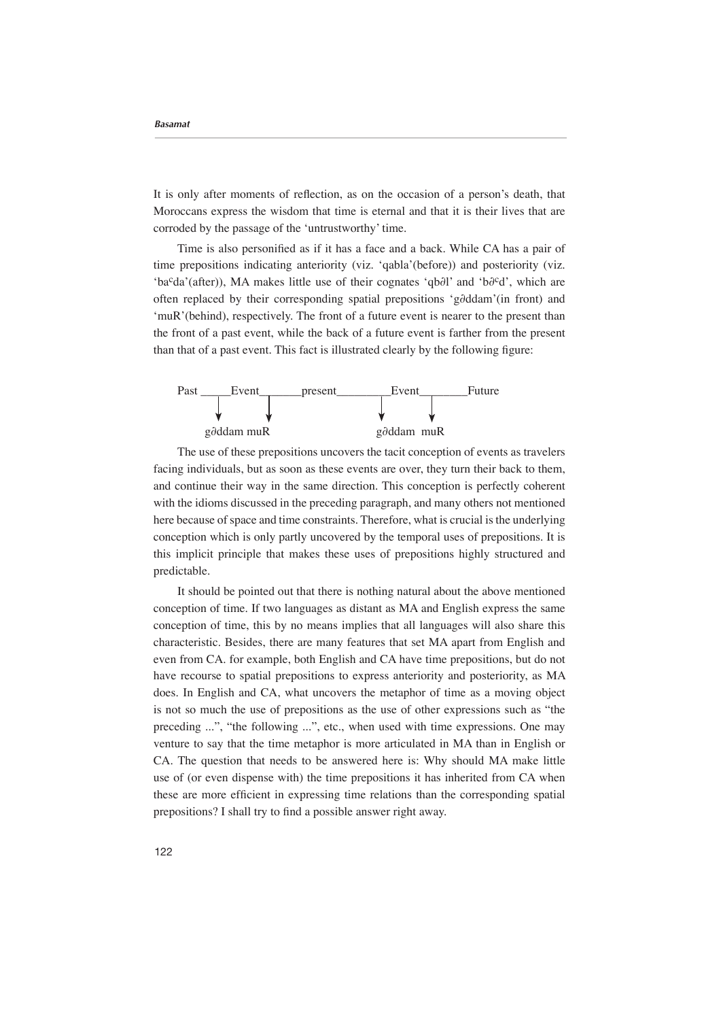It is only after moments of reflection, as on the occasion of a person's death, that Moroccans express the wisdom that time is eternal and that it is their lives that are corroded by the passage of the 'untrustworthy' time.

Time is also personified as if it has a face and a back. While CA has a pair of time prepositions indicating anteriority (viz. 'qabla' (before)) and posteriority (viz. 'ba<sup>c</sup>da'(after)), MA makes little use of their cognates 'qb∂l' and 'b∂<sup>c</sup>d', which are often replaced by their corresponding spatial prepositions 'g∂ddam'(in front) and  $t_{\text{muR}}'$  (behind), respectively. The front of a future event is nearer to the present than the front of a past event, while the back of a future event is farther from the present than that of a past event. This fact is illustrated clearly by the following figure:



The use of these prepositions uncovers the tacit conception of events as travelers facing individuals, but as soon as these events are over, they turn their back to them, and continue their way in the same direction. This conception is perfectly coherent with the idioms discussed in the preceding paragraph, and many others not mentioned here because of space and time constraints. Therefore, what is crucial is the underlying conception which is only partly uncovered by the temporal uses of prepositions. It is this implicit principle that makes these uses of prepositions highly structured and predictable.

It should be pointed out that there is nothing natural about the above mentioned conception of time. If two languages as distant as MA and English express the same conception of time, this by no means implies that all languages will also share this characteristic. Besides, there are many features that set MA apart from English and even from CA, for example, both English and CA have time prepositions, but do not have recourse to spatial prepositions to express anteriority and posteriority, as MA does. In English and CA, what uncovers the metaphor of time as a moving object is not so much the use of prepositions as the use of other expressions such as "the preceding ...", "the following ...", etc., when used with time expressions. One may venture to say that the time metaphor is more articulated in MA than in English or CA. The question that needs to be answered here is: Why should MA make little use of (or even dispense with) the time prepositions it has inherited from CA when these are more efficient in expressing time relations than the corresponding spatial prepositions? I shall try to find a possible answer right away.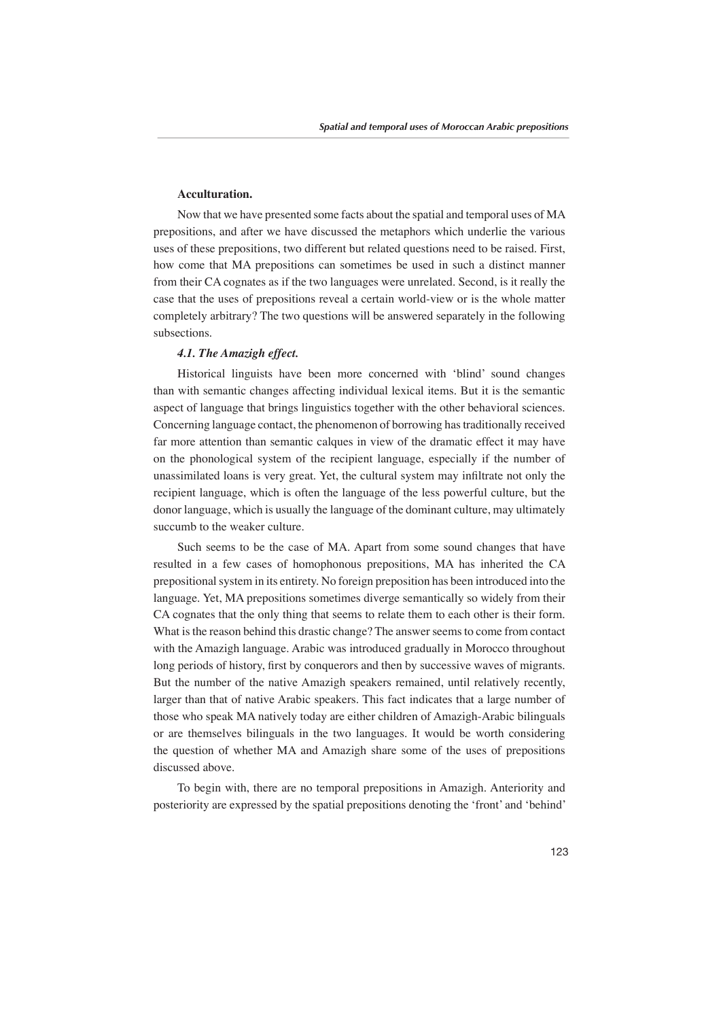# **.Acculturation**

Now that we have presented some facts about the spatial and temporal uses of MA prepositions, and after we have discussed the metaphors which underlie the various uses of these prepositions, two different but related questions need to be raised. First, how come that MA prepositions can sometimes be used in such a distinct manner from their CA cognates as if the two languages were unrelated. Second, is it really the case that the uses of prepositions reveal a certain world-view or is the whole matter completely arbitrary? The two questions will be answered separately in the following subsections.

## **4.1. The Amazigh effect.**

Historical linguists have been more concerned with 'blind' sound changes than with semantic changes affecting individual lexical items. But it is the semantic aspect of language that brings linguistics together with the other behavioral sciences. Concerning language contact, the phenomenon of borrowing has traditionally received far more attention than semantic calques in view of the dramatic effect it may have on the phonological system of the recipient language, especially if the number of unassimilated loans is very great. Yet, the cultural system may infiltrate not only the recipient language, which is often the language of the less powerful culture, but the donor language, which is usually the language of the dominant culture, may ultimately succumb to the weaker culture.

Such seems to be the case of MA. Apart from some sound changes that have resulted in a few cases of homophonous prepositions, MA has inherited the CA prepositional system in its entirety. No foreign preposition has been introduced into the language. Yet, MA prepositions sometimes diverge semantically so widely from their CA cognates that the only thing that seems to relate them to each other is their form. What is the reason behind this drastic change? The answer seems to come from contact with the Amazigh language. Arabic was introduced gradually in Morocco throughout long periods of history, first by conquerors and then by successive waves of migrants. But the number of the native Amazigh speakers remained, until relatively recently, larger than that of native Arabic speakers. This fact indicates that a large number of those who speak MA natively today are either children of Amazigh-Arabic bilinguals or are themselves bilinguals in the two languages. It would be worth considering the question of whether MA and Amazigh share some of the uses of prepositions discussed above.

To begin with, there are no temporal prepositions in Amazigh. Anteriority and posteriority are expressed by the spatial prepositions denoting the 'front' and 'behind'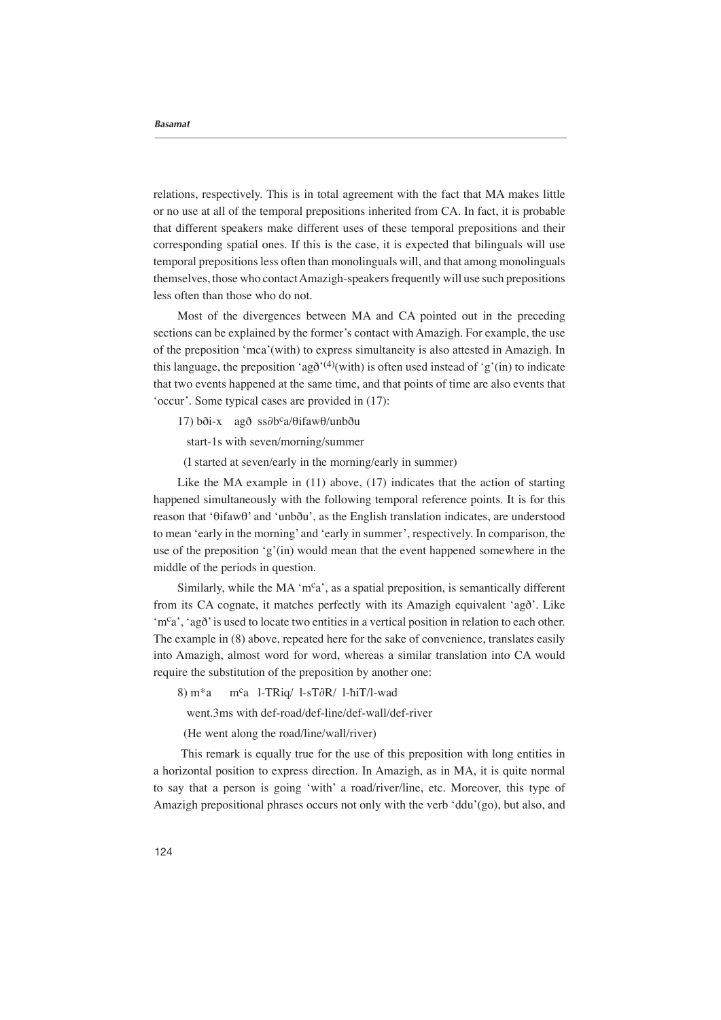relations, respectively. This is in total agreement with the fact that MA makes little or no use at all of the temporal prepositions inherited from CA. In fact, it is probable that different speakers make different uses of these temporal prepositions and their corresponding spatial ones. If this is the case, it is expected that bilinguals will use temporal prepositions less often than monolinguals will, and that among monolinguals themselves, those who contact Amazigh-speakers frequently will use such prepositions less often than those who do not.

Most of the divergences between MA and CA pointed out in the preceding sections can be explained by the former's contact with Amazigh. For example, the use of the preposition 'mca' (with) to express simultaneity is also attested in Amazigh. In this language, the preposition 'ag $\delta^{(4)}$ (with) is often used instead of 'g' (in) to indicate that two events happened at the same time, and that points of time are also events that 'occur'. Some typical cases are provided in  $(17)$ :

17) bði-x agð ss∂b<sup>c</sup>a/θifawθ/unbðu

start-1s with seven/morning/summer

 $(I$  started at seven/early in the morning/early in summer)

Like the MA example in  $(11)$  above,  $(17)$  indicates that the action of starting happened simultaneously with the following temporal reference points. It is for this reason that 'θifawθ' and 'unbðu', as the English translation indicates, are understood to mean 'early in the morning' and 'early in summer', respectively. In comparison, the use of the preposition 'g'(in) would mean that the event happened somewhere in the middle of the periods in question.

Similarly, while the MA 'm<sup>c</sup>a', as a spatial preposition, is semantically different from its CA cognate, it matches perfectly with its Amazigh equivalent 'agð'. Like 'm<sup>c</sup>a', 'agð' is used to locate two entities in a vertical position in relation to each other. The example in  $(8)$  above, repeated here for the sake of convenience, translates easily into Amazigh, almost word for word, whereas a similar translation into CA would require the substitution of the preposition by another one:

8) m<sup>\*</sup>a m<sup>c</sup>a 1-TRig/ 1-sT∂R/ 1-ħiT/l-wad

went.3ms with def-road/def-line/def-wall/def-river

(He went along the road/line/wall/river)

This remark is equally true for the use of this preposition with long entities in a horizontal position to express direction. In Amazigh, as in MA, it is quite normal to say that a person is going 'with' a road/river/line, etc. Moreover, this type of Amazigh prepositional phrases occurs not only with the verb 'ddu'(go), but also, and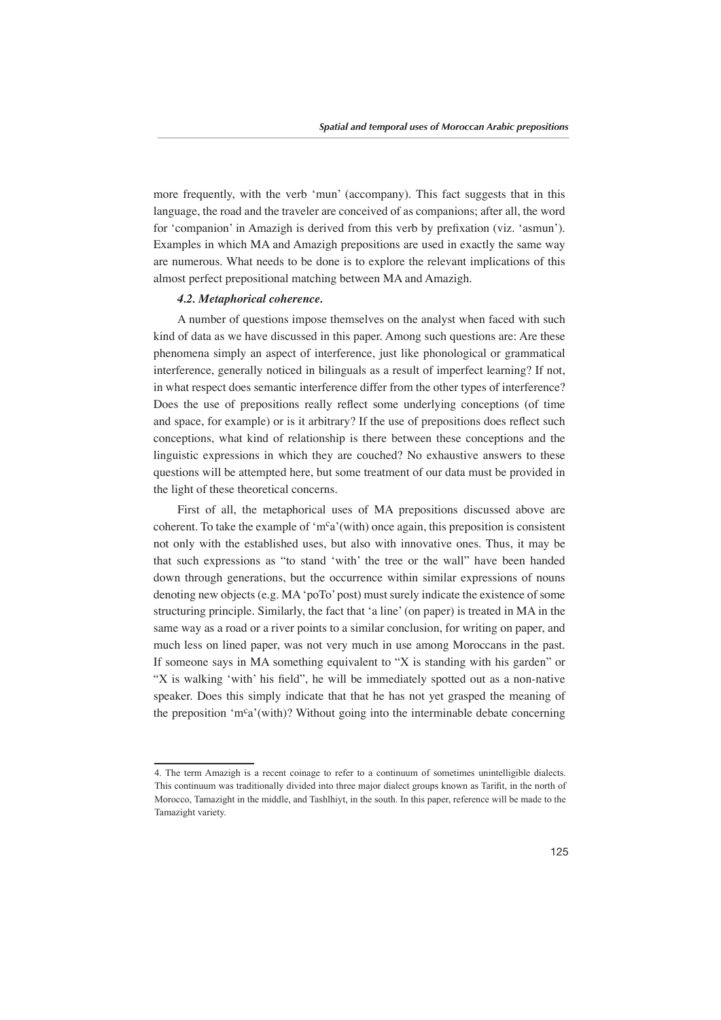more frequently, with the verb 'mun' (accompany). This fact suggests that in this language, the road and the traveler are conceived of as companions; after all, the word for 'companion' in Amazigh is derived from this verb by prefixation (viz. 'asmun'). Examples in which MA and Amazigh prepositions are used in exactly the same way are numerous. What needs to be done is to explore the relevant implications of this almost perfect prepositional matching between MA and Amazigh.

## **4.2.** *Metaphorical coherence.*

A number of questions impose themselves on the analyst when faced with such kind of data as we have discussed in this paper. Among such questions are: Are these phenomena simply an aspect of interference, just like phonological or grammatical interference, generally noticed in bilinguals as a result of imperfect learning? If not, in what respect does semantic interference differ from the other types of interference? Does the use of prepositions really reflect some underlying conceptions (of time and space, for example) or is it arbitrary? If the use of prepositions does reflect such conceptions, what kind of relationship is there between these conceptions and the linguistic expressions in which they are couched? No exhaustive answers to these questions will be attempted here, but some treatment of our data must be provided in the light of these theoretical concerns.

First of all, the metaphorical uses of MA prepositions discussed above are consistent consistent is consistent that  $\frac{m^c a'}{m^c a'}$  (with) once again, this preposition is consistent not only with the established uses, but also with innovative ones. Thus, it may be that such expressions as "to stand 'with' the tree or the wall" have been handed down through generations, but the occurrence within similar expressions of nouns denoting new objects (e.g.  $MA'poTo'post$ ) must surely indicate the existence of some structuring principle. Similarly, the fact that 'a line' (on paper) is treated in  $MA$  in the same way as a road or a river points to a similar conclusion, for writing on paper, and much less on lined paper, was not very much in use among Moroccans in the past. If someone says in MA something equivalent to "X is standing with his garden" or "X is walking 'with' his field", he will be immediately spotted out as a non-native speaker. Does this simply indicate that that he has not yet grasped the meaning of the preposition 'm<sup>c</sup>a' (with)? Without going into the interminable debate concerning

<sup>4.</sup> The term Amazigh is a recent coinage to refer to a continuum of sometimes unintelligible dialects. This continuum was traditionally divided into three major dialect groups known as Tarifit, in the north of Morocco, Tamazight in the middle, and Tashlhiyt, in the south. In this paper, reference will be made to the Tamazight variety.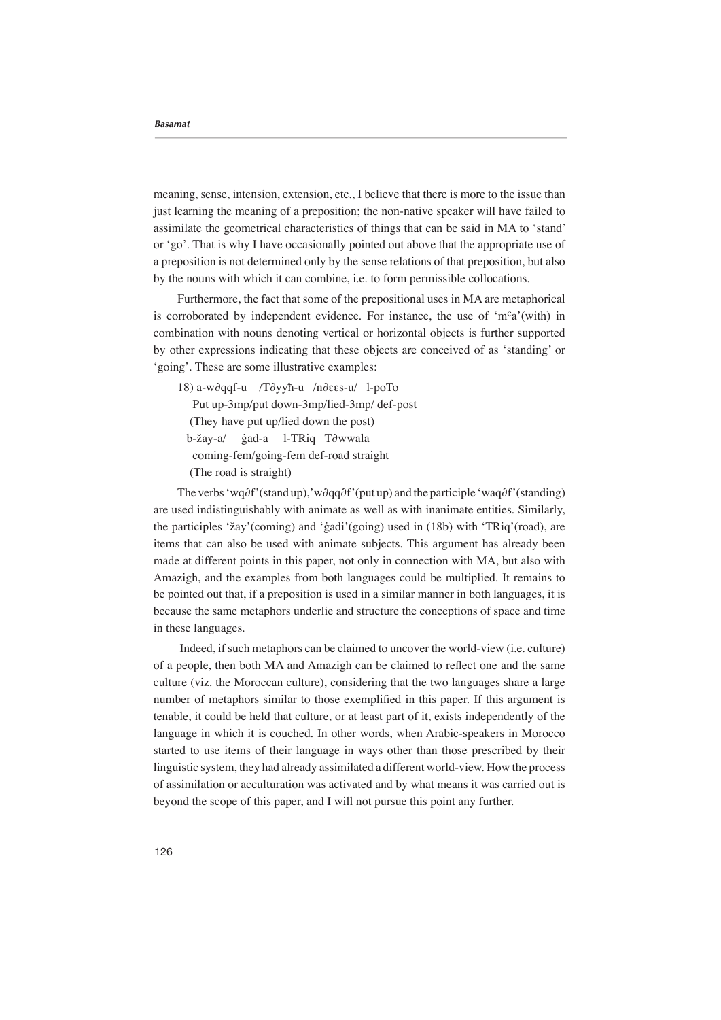meaning, sense, intension, extension, etc., I believe that there is more to the issue than just learning the meaning of a preposition; the non-native speaker will have failed to assimilate the geometrical characteristics of things that can be said in MA to 'stand' or 'go'. That is why I have occasionally pointed out above that the appropriate use of a preposition is not determined only by the sense relations of that preposition, but also by the nouns with which it can combine, i.e. to form permissible collocations.

Furthermore, the fact that some of the prepositional uses in MA are metaphorical is corroborated by independent evidence. For instance, the use of 'm<sup>c</sup>a' (with) in combination with nouns denoting vertical or horizontal objects is further supported by other expressions indicating that these objects are conceived of as 'standing' or 'going'. These are some illustrative examples:

18) a-w∂qqf-u /T∂yyħ-u /n∂εεs-u/ 1-poTo Put up-3mp/put down-3mp/lied-3mp/ def-post (They have put up/lied down the post) b-žay-a/ ġad-a l-TRiq T∂wwala coming-fem/going-fem def-road straight (The road is straight)

The verbs 'wq∂f'(stand up), 'w∂qq∂f'(put up) and the participle 'waq∂f'(standing) are used indistinguishably with animate as well as with inanimate entities. Similarly, the participles 'žay' (coming) and 'gadi' (going) used in  $(18b)$  with 'TRiq' (road), are items that can also be used with animate subjects. This argument has already been made at different points in this paper, not only in connection with MA, but also with Amazigh, and the examples from both languages could be multiplied. It remains to be pointed out that, if a preposition is used in a similar manner in both languages, it is because the same metaphors underlie and structure the conceptions of space and time in these languages.

Indeed, if such metaphors can be claimed to uncover the world-view (i.e. culture) of a people, then both MA and Amazigh can be claimed to reflect one and the same culture (viz. the Moroccan culture), considering that the two languages share a large number of metaphors similar to those exemplified in this paper. If this argument is tenable, it could be held that culture, or at least part of it, exists independently of the language in which it is couched. In other words, when Arabic-speakers in Morocco started to use items of their language in ways other than those prescribed by their linguistic system, they had already assimilated a different world-view. How the process of assimilation or acculturation was activated and by what means it was carried out is beyond the scope of this paper, and I will not pursue this point any further.